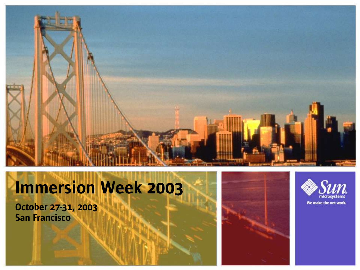

### Immersion Week 2003

October 27-31, 2003 San Francisco



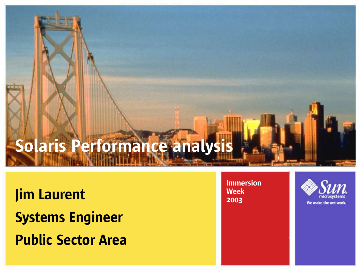## Solaris Performance analysis

Jim Laurent Systems Engineer Public Sector Area

Immersion Week 2003

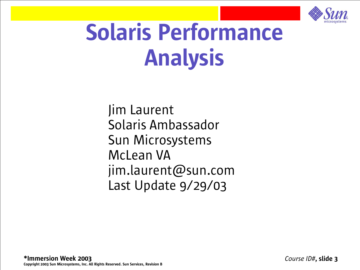

# Solaris Performance Analysis

Jim Laurent Solaris Ambassador Sun Microsystems McLean VA jim.laurent@sun.com Last Update 9/29/03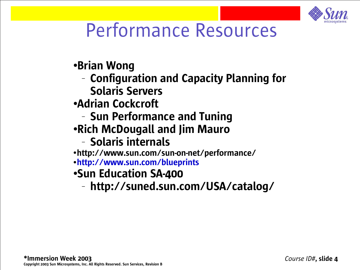

#### Performance Resources

●Brian Wong

– Configuration and Capacity Planning for

Solaris Servers

●Adrian Cockcroft

- Sun Performance and Tuning
- ●Rich McDougall and Jim Mauro

#### – Solaris internals

●http://www.sun.com/sun-on-net/performance/

●http://www.sun.com/blueprints

#### ●Sun Education SA-400

– http://suned.sun.com/USA/catalog/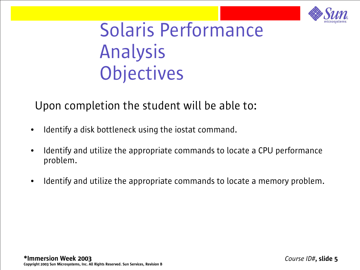

#### Solaris Performance Analysis **Objectives**

#### Upon completion the student will be able to:

- Identify a disk bottleneck using the iostat command.
- Identify and utilize the appropriate commands to locate a CPU performance problem.
- Identify and utilize the appropriate commands to locate a memory problem.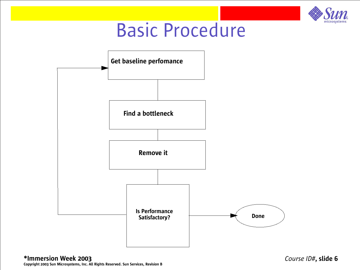

#### Basic Procedure



*Course ID#*, slide 6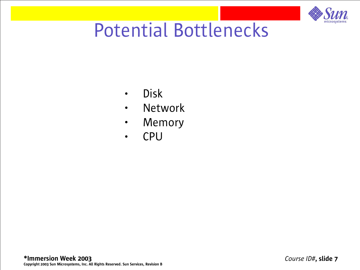

#### Potential Bottlenecks

- Disk
- Network
- Memory
- CPU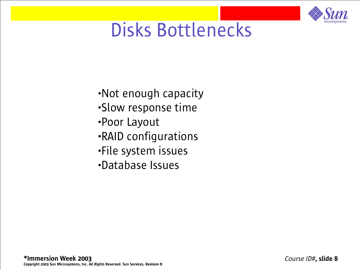

#### Disks Bottlenecks

- •Not enough capacity
- •Slow response time
- •Poor Layout
- •RAID configurations
- •File system issues
- •Database Issues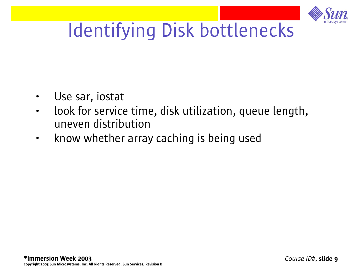

### Identifying Disk bottlenecks

- Use sar, iostat
- look for service time, disk utilization, queue length, uneven distribution
- know whether array caching is being used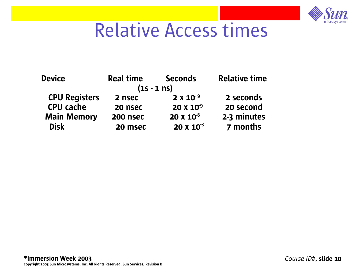

#### Relative Access times

| <b>Device</b>        | <b>Real time</b> | <b>Seconds</b>      | <b>Relative time</b> |
|----------------------|------------------|---------------------|----------------------|
|                      | $(1s - 1)$ ns)   |                     |                      |
| <b>CPU Registers</b> | 2 nsec           | $2 \times 10^{-9}$  | 2 seconds            |
| <b>CPU cache</b>     | 20 nsec          | $20 \times 10^{-9}$ | 20 second            |
| <b>Main Memory</b>   | <b>200 nsec</b>  | $20 \times 10^{8}$  | 2-3 minutes          |
| <b>Disk</b>          | 20 msec          | $20 \times 10^{3}$  | 7 months             |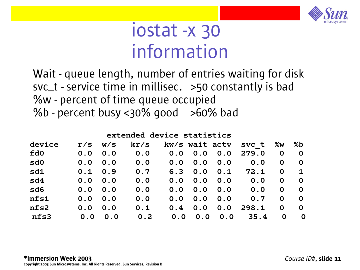

#### iostat -x 30 information

Wait - queue length, number of entries waiting for disk svc\_t - service time in millisec. >50 constantly is bad %w - percent of time queue occupied %b - percent busy <30% good >60% bad

| extended device statistics |     |     |      |     |                |     |       |             |             |  |  |
|----------------------------|-----|-----|------|-----|----------------|-----|-------|-------------|-------------|--|--|
| device                     | r/s | W/S | kr/s |     | kw/s wait actv |     | svc t | %w          | %b          |  |  |
| fd0                        | 0.0 | 0.0 | 0.0  | 0.0 | 0.0            | 0.0 | 279.0 | $\mathbf 0$ | $\mathbf 0$ |  |  |
| sd0                        | 0.0 | 0.0 | 0.0  | 0.0 | 0.0            | 0.0 | 0.0   | $\mathbf 0$ | $\mathbf 0$ |  |  |
| sd1                        | 0.1 | 0.9 | 0.7  | 6.3 | 0.0            | 0.1 | 72.1  | $\mathbf 0$ | $\mathbf 1$ |  |  |
| sd4                        | 0.0 | 0.0 | 0.0  | 0.0 | 0.0            | 0.0 | 0.0   | $\mathbf 0$ | $\mathbf 0$ |  |  |
| sd6                        | 0.0 | 0.0 | 0.0  | 0.0 | 0.0            | 0.0 | 0.0   | O           | $\mathbf 0$ |  |  |
| nfs1                       | 0.0 | 0.0 | 0.0  | 0.0 | 0.0            | 0.0 | 0.7   | $\mathbf 0$ | $\mathbf 0$ |  |  |
| nfs2                       | 0.0 | 0.0 | 0.1  | 0.4 | 0.0            | 0.0 | 298.1 | $\mathbf 0$ | $\mathbf 0$ |  |  |
| nfs3                       | 0.0 | 0.0 | 0.2  | 0.0 | 0.0            | 0.0 | 35.4  | $\mathbf 0$ | O           |  |  |

#### \*Immersion Week 2003 Copyright 2003 Sun Microsystems, Inc. All Rights Reserved. Sun Services, Revision B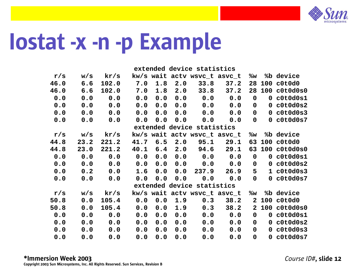

## Iostat -x -n -p Example

|      |      |              |     |                  |     | extended device statistics |                              |                         |                |
|------|------|--------------|-----|------------------|-----|----------------------------|------------------------------|-------------------------|----------------|
| r/s  | w/S  | kr/s         |     |                  |     |                            | kw/s wait actv wsvc_t asvc_t | %w                      | %b device      |
| 46.0 | 6.6  | 102.0        | 7.0 | 1.8              | 2.0 |                            | $33.8$ $37.2$                | 28                      | 100 c0t0d0     |
| 46.0 | 6.6  | 102.0        | 7.0 | 1.8              | 2.0 |                            | $33.8$ $37.2$                | 28                      | 100 c0t0d0s0   |
| 0.0  | 0.0  | 0.0          | 0.0 | 0.0              |     |                            | $0.0 \t 0.0 \t 0.0$          | $\mathbf 0$             | $0$ $c0t0d0s1$ |
| 0.0  | 0.0  | 0.0          | 0.0 | 0.0              | 0.0 | 0.0                        | 0.0                          | $\mathbf 0$             | $0$ $c0t0d0s2$ |
| 0.0  | 0.0  | 0.0          | 0.0 | 0.0              | 0.0 | 0.0                        | 0.0                          | $\mathbf{0}$            | $0$ $c0t0d0s3$ |
| 0.0  | 0.0  | 0.0          | 0.0 | 0.0              |     | 0.0 0.0                    | 0.0                          | $\mathbf{0}$            | $0$ $c0t0d0s7$ |
|      |      |              |     |                  |     | extended device statistics |                              |                         |                |
| r/s  | w/s  | ${\rm kr/s}$ |     |                  |     |                            | kw/s wait actv wsvc_t asvc_t |                         | %w %b device   |
| 44.8 | 23.2 | 221.2        |     | $41.7 \t6.5$     | 2.0 | 95.1                       | 29.1                         | 63                      | 100 c0t0d0     |
| 44.8 | 23.0 | 221.2        |     | $40.1 \quad 6.4$ |     |                            | $2.0$ $94.6$ $29.1$          | 63                      | 100 c0t0d0s0   |
| 0.0  | 0.0  | 0.0          | 0.0 | 0.0              |     |                            | $0.0 \t 0.0 \t 0.0$          | $\overline{\mathbf{0}}$ | $0$ $c0t0d0s1$ |
| 0.0  | 0.0  | 0.0          | 0.0 | 0.0              |     | 0.0 0.0                    | 0.0                          | $\mathbf{0}$            | $0$ $c0t0d0s2$ |
| 0.0  | 0.2  | 0.0          | 1.6 | 0.0              | 0.0 | 237.9                      | 26.9                         | 5                       | $1$ $c0t0d0s3$ |
| 0.0  | 0.0  | 0.0          | 0.0 | 0.0              | 0.0 | 0.0                        | 0.0                          | $\mathbf{0}$            | $0$ $c0t0d0s7$ |
|      |      |              |     |                  |     | extended device statistics |                              |                         |                |
| r/s  | w/S  | kr/s         |     |                  |     |                            | kw/s wait actv wsvc_t asvc_t |                         | %w %b device   |
| 50.8 | 0.0  | 105.4        | 0.0 | 0.0              | 1.9 | 0.3                        | 38.2                         | $\overline{2}$          | 100 c0t0d0     |
| 50.8 | 0.0  | 105.4        | 0.0 | 0.0              | 1.9 |                            | $0.3$ $38.2$                 | $\mathbf{2}$            | 100 c0t0d0s0   |
| 0.0  | 0.0  | 0.0          | 0.0 | 0.0              | 0.0 | 0.0                        | 0.0                          | $\mathbf 0$             | $0$ $c0t0d0s1$ |
| 0.0  | 0.0  | 0.0          | 0.0 | 0.0              | 0.0 | 0.0                        | 0.0                          | $\mathbf 0$             | $0$ $c0t0d0s2$ |
| 0.0  | 0.0  | 0.0          | 0.0 | 0.0              | 0.0 | 0.0                        | 0.0                          | $\mathbf{0}$            | $0$ $c0t0d0s3$ |
| 0.0  | 0.0  | 0.0          | 0.0 | 0.0              | 0.0 | 0.0                        | 0.0                          | $\Omega$                | $0$ $c0t0d0s7$ |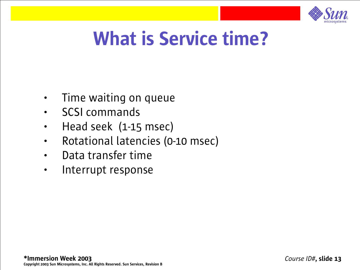

#### What is Service time?

- Time waiting on queue
- SCSI commands
- Head seek (1-15 msec)
- Rotational latencies (0-10 msec)
- Data transfer time
- Interrupt response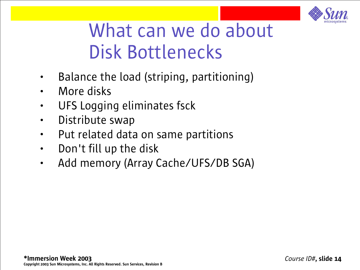

#### What can we do about Disk Bottlenecks

- Balance the load (striping, partitioning)
- More disks
- UFS Logging eliminates fsck
- Distribute swap
- Put related data on same partitions
- Don't fill up the disk
- Add memory (Array Cache/UFS/DB SGA)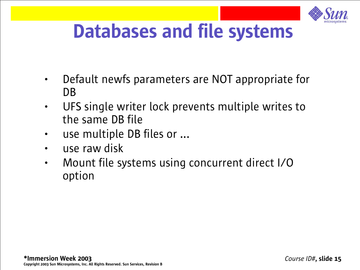

#### Databases and file systems

- Default newfs parameters are NOT appropriate for DB
- UFS single writer lock prevents multiple writes to the same DB file
- use multiple DB files or ...
- use raw disk
- Mount file systems using concurrent direct I/O option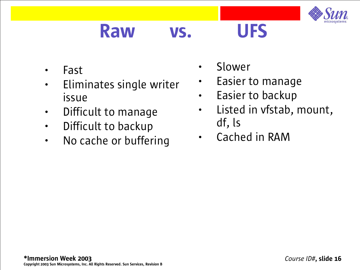

#### Raw vs. UFS

- Fast
- Eliminates single writer issue
- Difficult to manage
- Difficult to backup
- No cache or buffering
- Slower
- Easier to manage
- Easier to backup
- Listed in vfstab, mount, df, ls
- Cached in RAM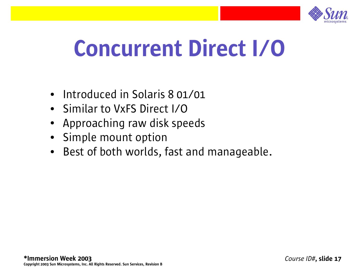

## Concurrent Direct I/O

- Introduced in Solaris 8 01/01
- Similar to VxFS Direct I/O
- Approaching raw disk speeds
- Simple mount option
- Best of both worlds, fast and manageable.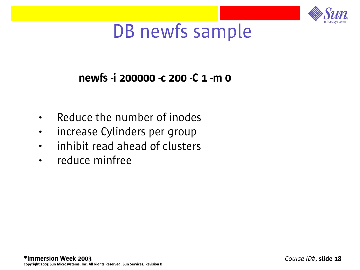

#### DB newfs sample

#### newfs -i 200000 -c 200 -C 1 -m 0

- Reduce the number of inodes
- increase Cylinders per group
- inhibit read ahead of clusters
- reduce minfree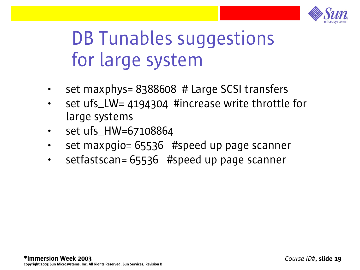

#### DB Tunables suggestions for large system

- set maxphys= 8388608 # Large SCSI transfers
- set ufs\_LW= 4194304 #increase write throttle for large systems
- set ufs\_HW=67108864
- set maxpgio= 65536 #speed up page scanner
- setfastscan= 65536 #speed up page scanner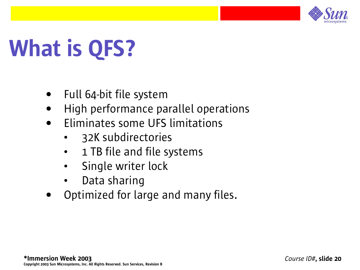

# What is QFS?

- Full 64-bit file system
- High performance parallel operations
- Eliminates some UFS limitations
	- 32K subdirectories
	- 1 TB file and file systems
	- Single writer lock
	- Data sharing
- Optimized for large and many files.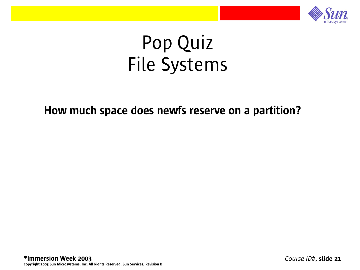

#### How much space does newfs reserve on a partition?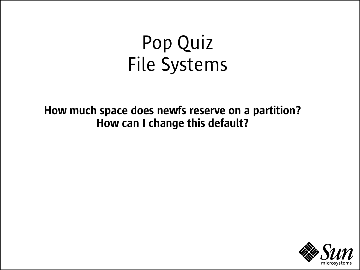How much space does newfs reserve on a partition? How can I change this default?

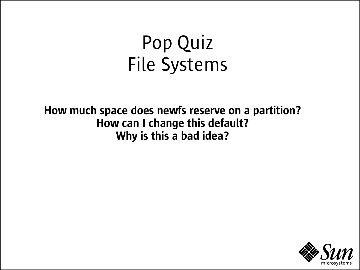How much space does newfs reserve on a partition? How can I change this default? Why is this a bad idea?

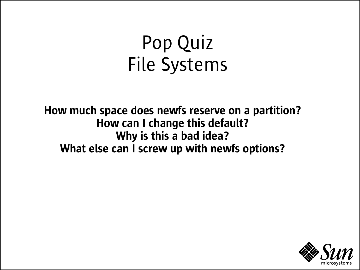How much space does newfs reserve on a partition? How can I change this default? Why is this a bad idea? What else can I screw up with newfs options?

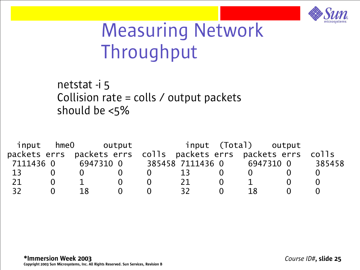

#### Measuring Network Throughput

netstat -i 5 Collision rate = colls  $\prime$  output packets should be <5%

|           | input hmeO |    | output                                                          |     |    | input (Total) output |        |
|-----------|------------|----|-----------------------------------------------------------------|-----|----|----------------------|--------|
|           |            |    | packets errs packets errs colls packets errs packets errs colls |     |    |                      |        |
| 7111436 0 |            |    | 6947310 0 385458 7111436 0 6947310 0                            |     |    |                      | 385458 |
| 13        |            |    |                                                                 | 13  |    |                      |        |
| 21        |            |    |                                                                 | 21  |    |                      |        |
| 32        |            | 18 |                                                                 | 32. | 18 |                      |        |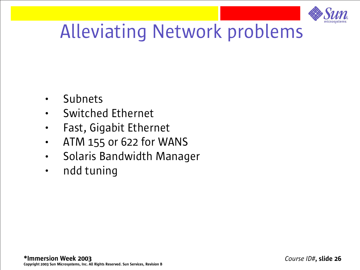

### Alleviating Network problems

- Subnets
- Switched Ethernet
- Fast, Gigabit Ethernet
- ATM 155 or 622 for WANS
- Solaris Bandwidth Manager
- ndd tuning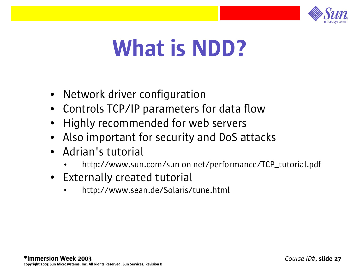

## What is NDD?

- Network driver configuration
- Controls TCP/IP parameters for data flow
- Highly recommended for web servers
- Also important for security and DoS attacks
- Adrian's tutorial
	- http://www.sun.com/sun-on-net/performance/TCP\_tutorial.pdf
- Externally created tutorial
	- http://www.sean.de/Solaris/tune.html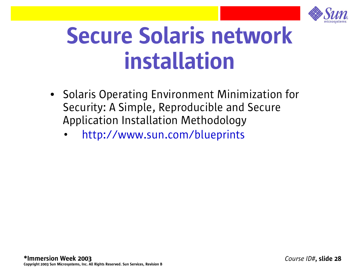

# Secure Solaris network installation

- Solaris Operating Environment Minimization for Security: A Simple, Reproducible and Secure Application Installation Methodology
	- http://www.sun.com/blueprints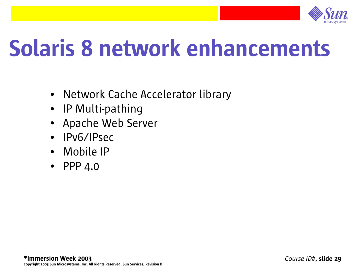

# Solaris 8 network enhancements

- Network Cache Accelerator library
- IP Multi-pathing
- Apache Web Server
- IPv6/IPsec
- Mobile IP
- PPP  $4.0$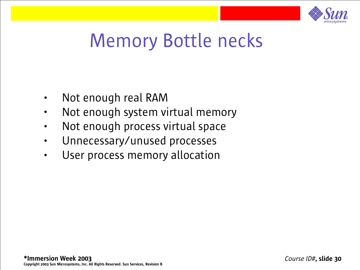

#### Memory Bottle necks

- Not enough real RAM
- Not enough system virtual memory
- Not enough process virtual space
- Unnecessary/unused processes
- User process memory allocation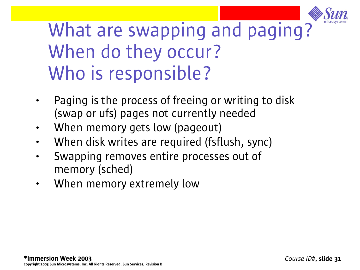

#### What are swapping and paging? When do they occur? Who is responsible?

- Paging is the process of freeing or writing to disk (swap or ufs) pages not currently needed
- When memory gets low (pageout)
- When disk writes are required (fsflush, sync)
- Swapping removes entire processes out of memory (sched)
- When memory extremely low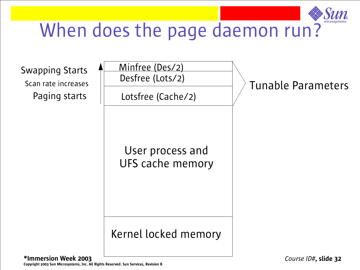

#### When does the page daemon run?

Scan rate increases Paging starts



User process and UFS cache memory

#### Kernel locked memory

Tunable Parameters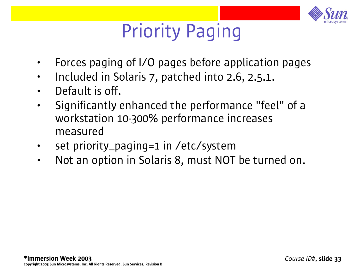

#### Priority Paging

- Forces paging of I/O pages before application pages
- Included in Solaris 7, patched into 2.6, 2.5.1.
- Default is off.
- Significantly enhanced the performance "feel" of a workstation 10-300% performance increases measured
- set priority\_paging=1 in /etc/system
- Not an option in Solaris 8, must NOT be turned on.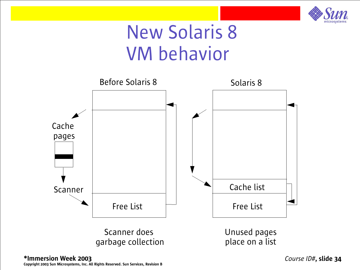

#### New Solaris 8 VM behavior



\*Immersion Week 2003 Copyright 2003 Sun Microsystems, Inc. All Rights Reserved. Sun Services, Revision B *Course ID#*, slide 34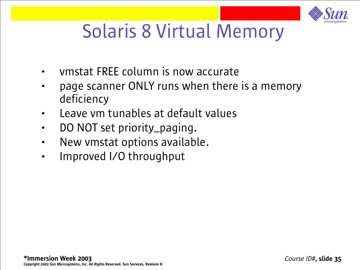

#### Solaris 8 Virtual Memory

- vmstat FREE column is now accurate
- page scanner ONLY runs when there is a memory deficiency
- Leave vm tunables at default values
- DO NOT set priority\_paging.
- New vmstat options available.
- Improved I/O throughput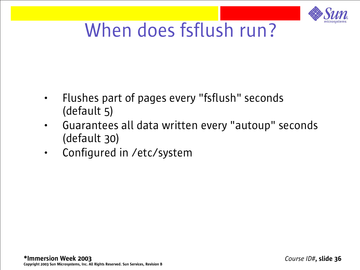

#### When does fsflush run?

- Flushes part of pages every "fsflush" seconds (default 5)
- Guarantees all data written every "autoup" seconds (default 30)
- Configured in /etc/system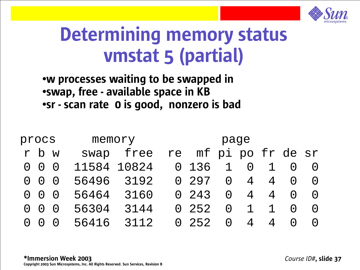

#### Determining memory status vmstat 5 (partial)

#### •w processes waiting to be swapped in •swap, free - available space in KB ●sr - scan rate 0 is good, nonzero is bad

| procs     |                     |             | memory     | page |                      |          |                 |                |          |  |  |
|-----------|---------------------|-------------|------------|------|----------------------|----------|-----------------|----------------|----------|--|--|
|           | r b w               |             | swap free  |      | re mf pi po fr de sr |          |                 |                |          |  |  |
|           | $0\quad 0\quad 0$   | 11584 10824 |            |      | 0 136                | 1        | $\cup$          | $\mathbf{1}$   |          |  |  |
|           |                     |             | 56496 3192 |      | 0 297                | $\Omega$ | $\overline{4}$  | $\overline{4}$ | $\Omega$ |  |  |
|           | $0 \quad 0 \quad 0$ | 56464 3160  |            |      | 0 243                | $\Omega$ | $4\overline{ }$ | $\overline{4}$ | $\Omega$ |  |  |
|           |                     | 56304       | 3144       |      | 0.252                | $\Omega$ | $\mathbf{1}$    | $\mathbf{1}$   | $\Omega$ |  |  |
| $\bigcap$ |                     |             | 56416 3112 |      | $0\quad 252$         | $\Omega$ | 4               | $\overline{4}$ |          |  |  |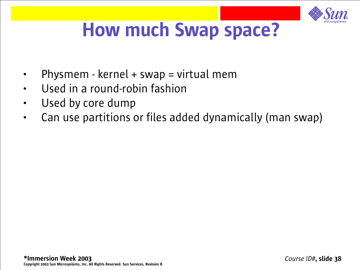

### How much Swap space?

- Physmem kernel + swap = virtual mem
- Used in a round-robin fashion
- Used by core dump
- Can use partitions or files added dynamically (man swap)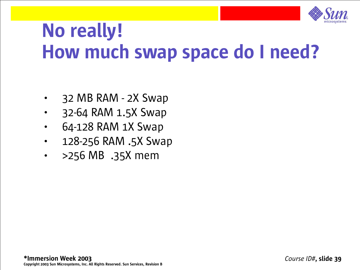

#### No really! How much swap space do I need?

- 32 MB RAM 2X Swap
- 32-64 RAM 1.5X Swap
- 64-128 RAM 1X Swap
- 128-256 RAM .5X Swap
- >256 MB .35X mem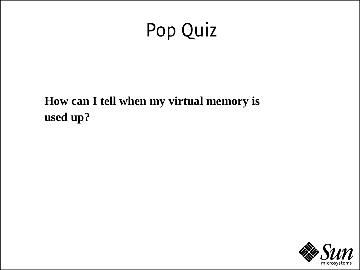### Pop Quiz

**How can I tell when my virtual memory is used up?**

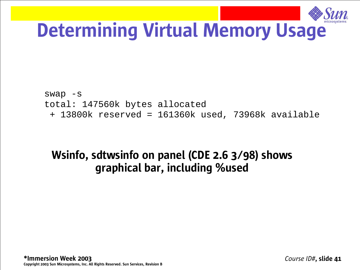

#### Determining Virtual Memory Usage

swap -s total: 147560k bytes allocated + 13800k reserved = 161360k used, 73968k available

#### Wsinfo, sdtwsinfo on panel (CDE 2.6 3/98) shows graphical bar, including %used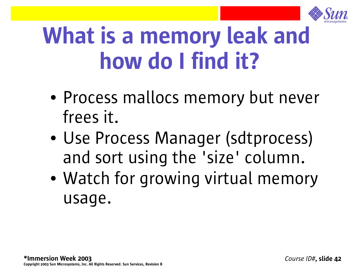

# What is a memory leak and how do I find it?

- Process mallocs memory but never frees it.
- Use Process Manager (sdtprocess) and sort using the 'size' column.
- Watch for growing virtual memory usage.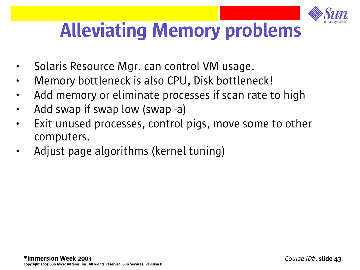

### Alleviating Memory problems

- Solaris Resource Mgr. can control VM usage.
- Memory bottleneck is also CPU, Disk bottleneck!
- Add memory or eliminate processes if scan rate to high
- Add swap if swap low (swap -a)
- Exit unused processes, control pigs, move some to other computers.
- Adjust page algorithms (kernel tuning)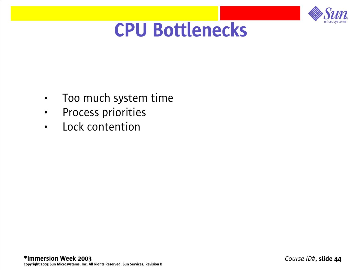

#### CPU Bottlenecks

- Too much system time
- Process priorities
- Lock contention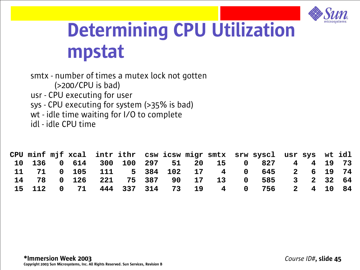

#### Determining CPU Utilization mpstat

smtx - number of times a mutex lock not gotten (>200/CPU is bad) usr - CPU executing for user sys - CPU executing for system (>35% is bad) wt - idle time waiting for I/O to complete idl - idle CPU time

|  |  |  |  |  | CPU minf mjf xcal intr ithr csw icsw migr smtx srw syscl usr sys wt idl |  |  |
|--|--|--|--|--|-------------------------------------------------------------------------|--|--|
|  |  |  |  |  | 10 136  0 614  300  100  297  51  20  15  0  827  4  4  19  73          |  |  |
|  |  |  |  |  | 11 71 0 105 111 5 384 102 17 4 0 645 2 6 19 74                          |  |  |
|  |  |  |  |  | 14 78 0 126 221 75 387 90 17 13 0 585 3 2 32 64                         |  |  |
|  |  |  |  |  | 15 112 0 71 444 337 314 73 19 4 0 756 2 4 10 84                         |  |  |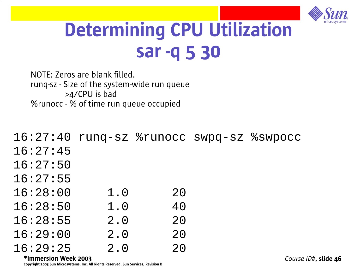

#### Determining CPU Utilization sar -q 5 30

NOTE: Zeros are blank filled. runq-sz - Size of the system-wide run queue >4/CPU is bad %runocc - % of time run queue occupied

16:27:40 runq-sz %runocc swpq-sz %swpocc 16:27:45 16:27:50 16:27:55 16:28:00 1.0 20 16:28:50 1.0 40 16:28:55 2.0 20 16:29:00 2.0 20 16:29:25 2.0 20

\*Immersion Week 2003 Copyright 2003 Sun Microsystems, Inc. All Rights Reserved. Sun Services, Revision B

*Course ID#*, slide 46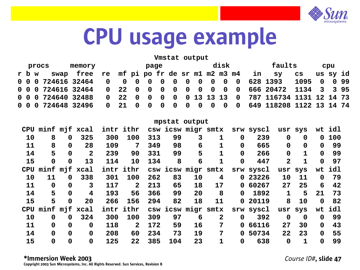

## CPU usage example

#### **Vmstat output**

|  |       | procs | memory                                                                              | disk<br>page |  |  |  | faults<br>cpu |  |  |  |    |          |  |  |
|--|-------|-------|-------------------------------------------------------------------------------------|--------------|--|--|--|---------------|--|--|--|----|----------|--|--|
|  | r b w |       | swap free re mf pi po fr de sr m1 m2 m3 m4 in sy                                    |              |  |  |  |               |  |  |  | CS | us sy id |  |  |
|  |       |       | 0 0 0 724616 32464    0  0  0  0  0  0  0  0  0  0  0  628 1393    1095    0  0  99 |              |  |  |  |               |  |  |  |    |          |  |  |
|  |       |       |                                                                                     |              |  |  |  |               |  |  |  |    |          |  |  |
|  |       |       | 0 0 0 724640 32488 0 22 0 0 0 0 0 13 13 13 0 787 116734 1131 12 14 73               |              |  |  |  |               |  |  |  |    |          |  |  |
|  |       |       |                                                                                     |              |  |  |  |               |  |  |  |    |          |  |  |

|    |                   |             |                   |     |                |     |     | mpstat output |                         |             |           |                |              |             |     |
|----|-------------------|-------------|-------------------|-----|----------------|-----|-----|---------------|-------------------------|-------------|-----------|----------------|--------------|-------------|-----|
|    |                   |             | CPU minf mjf xcal |     | intr ithr      |     |     |               | csw icsw migr smtx      |             | srw syscl |                | usr sys      | wt          | idl |
| 10 | 8                 | $\mathbf 0$ | 325               | 300 | 100            | 313 | 99  | 3             | 1                       | $\mathbf 0$ | 239       | $\mathbf 0$    | $\mathbf 0$  | 0           | 100 |
| 11 | 8                 | $\mathbf 0$ | 28                | 109 | 7              | 349 | 98  | 6             | 1                       | $\mathbf 0$ | 665       | $\mathbf 0$    | $\mathbf 0$  | $\mathbf 0$ | 99  |
| 14 | 5                 | $\mathbf 0$ | $\overline{2}$    | 239 | 90             | 331 | 99  | 5             | 1                       | $\mathbf 0$ | 266       | $\mathbf 0$    | 1            | $\mathbf 0$ | 99  |
| 15 | 0                 | $\mathbf 0$ | 13                | 114 | 10             | 134 | 8   | 6             | 1                       | $\mathbf 0$ | 447       | $\overline{2}$ | $\mathbf{1}$ | $\mathbf 0$ | 97  |
|    | CPU minf mjf xcal |             |                   |     | intr ithr      |     |     |               | csw icsw migr smtx      |             | srw syscl |                | usr sys      | wt          | idl |
| 10 | 11                | $\mathbf 0$ | 338               | 301 | 100            | 262 | 83  | 10            | $\overline{\mathbf{4}}$ |             | 0 23226   | 10             | 11           | $\mathbf 0$ | 79  |
| 11 | $\mathbf 0$       | $\mathbf 0$ | 3                 | 117 | $\overline{2}$ | 213 | 65  | 18            | 17                      |             | 0 60267   | 27             | 25           | 6           | 42  |
| 14 | 5                 | $\mathbf 0$ | 4                 | 193 | 56             | 366 | 99  | 20            | 8                       | $\mathbf 0$ | 1892      | $\mathbf{1}$   | 5            | 21          | 73  |
| 15 | 5                 | $\mathbf 0$ | 20                | 266 | 156            | 294 | 82  | 18            | 11                      | 0           | 20119     | 8              | 10           | $\mathbf 0$ | 82  |
|    | CPU minf mjf xcal |             |                   |     | intr ithr      |     |     |               | csw icsw migr smtx      |             | srw syscl |                | usr sys      | wt          | idl |
| 10 | $\mathbf 0$       | $\mathbf 0$ | 324               | 300 | 100            | 309 | 97  | 6             | $\mathbf{2}$            | $\mathbf 0$ | 392       | $\mathbf 0$    | $\mathbf 0$  | $\mathbf 0$ | 99  |
| 11 | $\mathbf 0$       | $\mathbf 0$ | $\mathbf 0$       | 118 | $\mathbf{2}$   | 172 | 59  | 16            | 7                       | $\mathbf 0$ | 66116     | 27             | 30           | $\mathbf 0$ | 43  |
| 14 | $\mathbf 0$       | $\mathbf 0$ | $\mathbf 0$       | 208 | 60             | 234 | 73  | 19            | 7                       | $\mathbf 0$ | 50734     | 22             | 23           | $\mathbf 0$ | 55  |
| 15 | 0                 | $\mathbf 0$ | $\mathbf 0$       | 125 | 22             | 385 | 104 | 23            | 1                       | $\mathbf 0$ | 638       | $\mathbf 0$    | 1            | $\mathbf 0$ | 99  |

#### \*Immersion Week 2003

*Course ID#*, slide 47

Copyright 2003 Sun Microsystems, Inc. All Rights Reserved. Sun Services, Revision B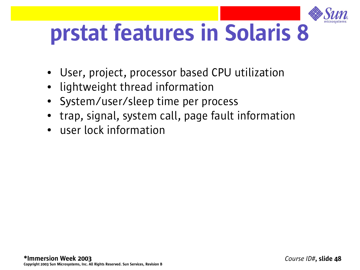

# prstat features in Solaris 8

- User, project, processor based CPU utilization
- lightweight thread information
- System/user/sleep time per process
- trap, signal, system call, page fault information
- **user lock information**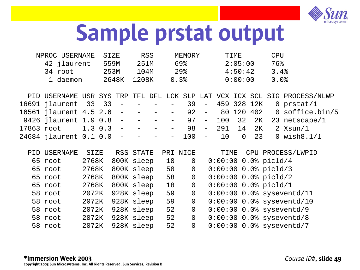

## Sample prstat output

| NPROC USERNAME | STZE  | RSS.  | MEMORY | TTMF.   | CPU  |
|----------------|-------|-------|--------|---------|------|
| 42 jlaurent    | 559M  | 251M  | 69%    | 2:05:00 | 76%  |
| 34 root        | 253M  | 104M  | $29$ . | 4:50:42 | 3.4% |
| 1 daemon       | 2648K | 1208K | 0.3    | 0:00:00 |      |

|                                                        |  |  |  |  |  |  | PID USERNAME USR SYS TRP TFL DFL LCK SLP LAT VCX ICX SCL SIG PROCESS/NLWP |
|--------------------------------------------------------|--|--|--|--|--|--|---------------------------------------------------------------------------|
|                                                        |  |  |  |  |  |  | $16691$ jlaurent 33 33 - - - - 39 - 459 328 12K 0 prstat/1                |
|                                                        |  |  |  |  |  |  | 16561 jlaurent 4.5 2.6 - - - - 92 - 80 120 402 0 soffice.bin/5            |
|                                                        |  |  |  |  |  |  | 9426 jlaurent 1.9 0.8 - - - - 97 - 100 32 2K 23 netscape/1                |
| $17863$ root $1.3$ 0.3 - - - - 98 - 291 14 2K 2 Xsun/1 |  |  |  |  |  |  |                                                                           |
|                                                        |  |  |  |  |  |  | $24684$ jlaurent 0.1 0.0 - - - - 100 - 10 0 23 0 wish 8.1/1               |

| PID | USERNAME | <b>SIZE</b> | RSS STATE  |    | PRI NICE       | TIME                   | CPU PROCESS/LWPID           |
|-----|----------|-------------|------------|----|----------------|------------------------|-----------------------------|
|     | 65 root  | 2768K       | 800K sleep | 18 | $\overline{0}$ | $0:00:00$ 0.0% picld/4 |                             |
|     | 65 root  | 2768K       | 800K sleep | 58 | $\overline{0}$ | $0:00:00$ 0.0% picld/3 |                             |
|     | 65 root  | 2768K       | 800K sleep | 58 | $\overline{0}$ | $0:00:0000.0$ picld/2  |                             |
|     | 65 root  | 2768K       | 800K sleep | 18 | $\overline{0}$ | $0:00:00$ 0.0% picld/1 |                             |
|     | 58 root  | 2072K       | 928K sleep | 59 | $\overline{0}$ |                        | $0:00:00$ 0.0% syseventd/11 |
|     | 58 root  | 2072K       | 928K sleep | 59 | $\overline{0}$ |                        | $0:00:00$ 0.0% syseventd/10 |
|     | 58 root  | 2072K       | 928K sleep | 52 | $\overline{0}$ |                        | $0:00:00$ 0.0% syseventd/9  |
|     | 58 root  | 2072K       | 928K sleep | 52 | $\overline{0}$ |                        | $0:00:00$ 0.0% syseventd/8  |
|     | 58 root  | 2072K       | 928K sleep | 52 | $\overline{0}$ |                        | $0:00:00$ 0.0% syseventd/7  |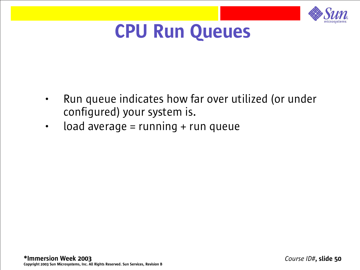

#### CPU Run Queues

- Run queue indicates how far over utilized (or under configured) your system is.
- load average = running + run queue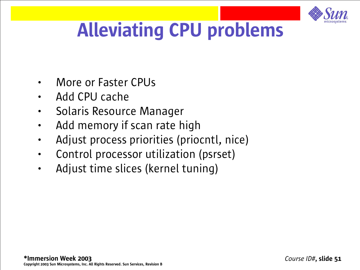

## Alleviating CPU problems

- More or Faster CPUs
- Add CPU cache
- Solaris Resource Manager
- Add memory if scan rate high
- Adjust process priorities (priocntl, nice)
- Control processor utilization (psrset)
- Adjust time slices (kernel tuning)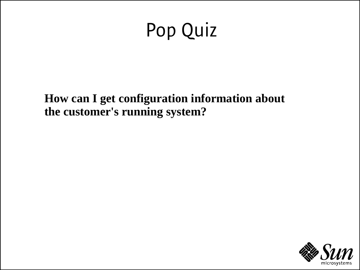### Pop Quiz

**How can I get configuration information about the customer's running system?**

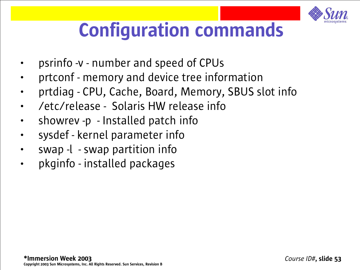

## Configuration commands

- psrinfo -v number and speed of CPUs
- prtconf memory and device tree information
- prtdiag CPU, Cache, Board, Memory, SBUS slot info
- /etc/release Solaris HW release info
- showrev -p Installed patch info
- sysdef kernel parameter info
- swap -l swap partition info
- pkginfo installed packages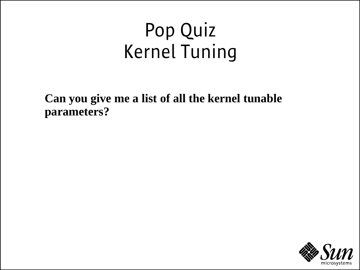#### Pop Quiz Kernel Tuning

**Can you give me a list of all the kernel tunable parameters?**

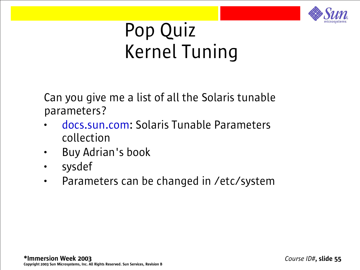

#### Pop Quiz Kernel Tuning

Can you give me a list of all the Solaris tunable parameters?

- docs.sun.com: Solaris Tunable Parameters collection
- Buy Adrian's book
- sysdef
- Parameters can be changed in /etc/system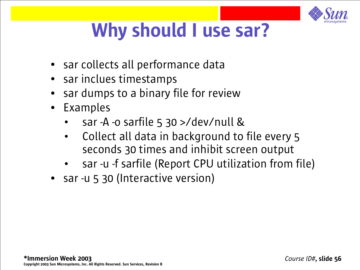

## Why should I use sar?

- sar collects all performance data
- sar inclues timestamps
- sar dumps to a binary file for review
- Examples
	- sar -A -o sarfile 5 30 >/dev/null &
	- Collect all data in background to file every 5 seconds 30 times and inhibit screen output
	- sar -u -f sarfile (Report CPU utilization from file)
- sar -u 5 30 (Interactive version)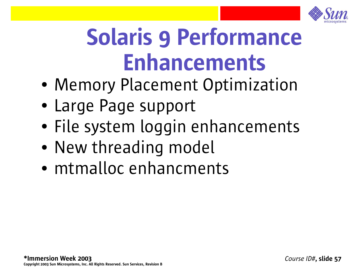

# Solaris 9 Performance Enhancements

- Memory Placement Optimization
- Large Page support
- File system loggin enhancements
- New threading model
- mtmalloc enhancments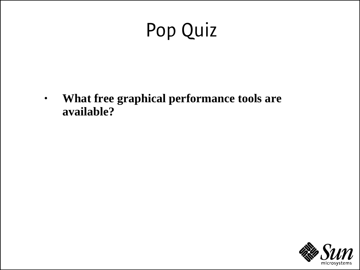## Pop Quiz

• **What free graphical performance tools are available?**

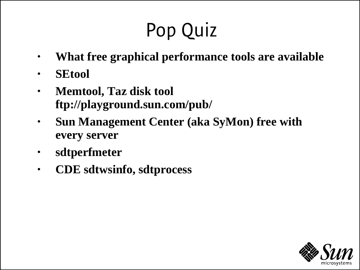## Pop Quiz

- **What free graphical performance tools are available**
- **SEtool**
- **Memtool, Taz disk tool ftp://playground.sun.com/pub/**
- **Sun Management Center (aka SyMon) free with every server**
- **sdtperfmeter**
- **CDE sdtwsinfo, sdtprocess**

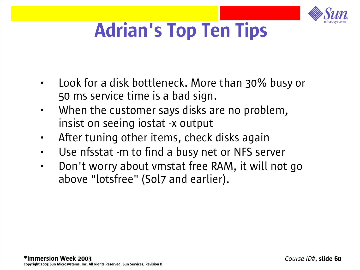

## Adrian's Top Ten Tips

- Look for a disk bottleneck. More than 30% busy or 50 ms service time is a bad sign.
- When the customer says disks are no problem, insist on seeing iostat -x output
- After tuning other items, check disks again
- Use nfsstat -m to find a busy net or NFS server
- Don't worry about vmstat free RAM, it will not go above "lotsfree" (Sol7 and earlier).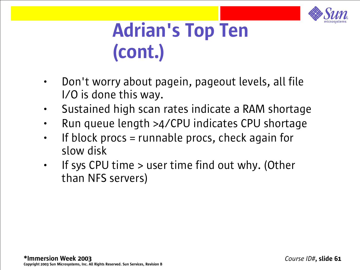

#### Adrian's Top Ten (cont.)

- Don't worry about pagein, pageout levels, all file I/O is done this way.
- Sustained high scan rates indicate a RAM shortage
- Run queue length >4/CPU indicates CPU shortage
- If block procs  $=$  runnable procs, check again for slow disk
- If sys CPU time > user time find out why. (Other than NFS servers)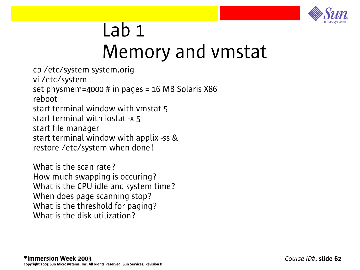

#### Lab 1 Memory and vmstat

cp /etc/system system.orig vi /etc/system set physmem=4000 # in pages =  $16$  MB Solaris X86 reboot start terminal window with vmstat 5 start terminal with iostat -x 5 start file manager start terminal window with applix -ss & restore /etc/system when done!

What is the scan rate? How much swapping is occuring? What is the CPU idle and system time? When does page scanning stop? What is the threshold for paging? What is the disk utilization?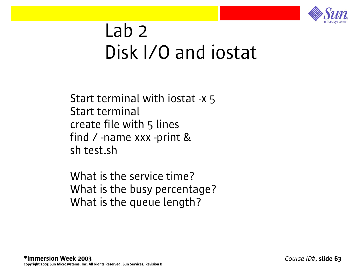

#### Lab 2 Disk I/O and iostat

Start terminal with iostat -x 5 Start terminal create file with 5 lines find / -name xxx -print & sh test.sh

What is the service time? What is the busy percentage? What is the queue length?

*Course ID#*, slide 63